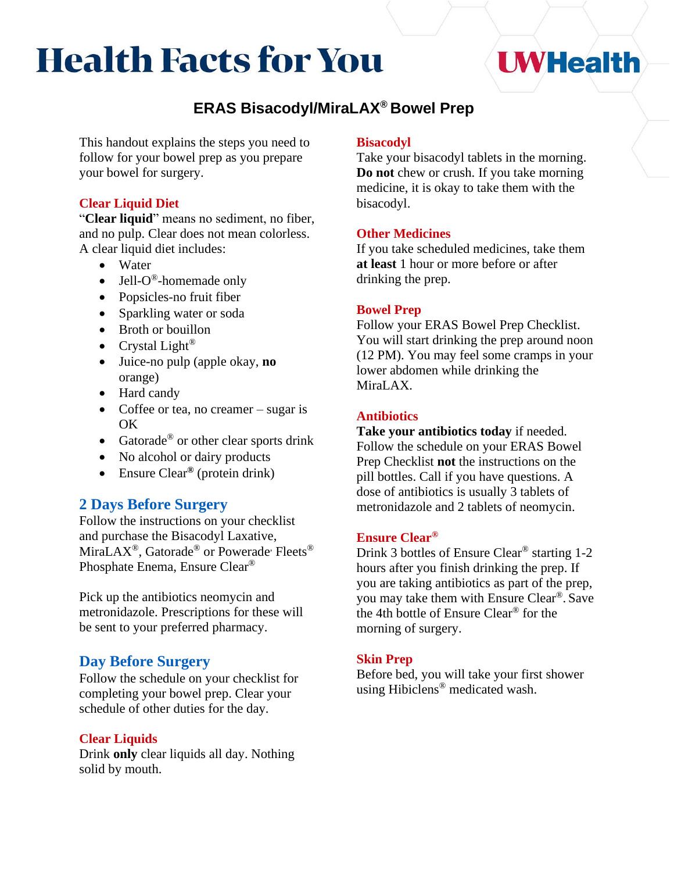# **Health Facts for You**

# **UWHealth**

# **ERAS Bisacodyl/MiraLAX® Bowel Prep**

This handout explains the steps you need to follow for your bowel prep as you prepare your bowel for surgery.

#### **Clear Liquid Diet**

"**Clear liquid**" means no sediment, no fiber, and no pulp. Clear does not mean colorless. A clear liquid diet includes:

- Water
- Jell- $O^{\circledast}$ -homemade only
- Popsicles-no fruit fiber
- Sparkling water or soda
- Broth or bouillon
- Crystal Light<sup>®</sup>
- Juice-no pulp (apple okay, **no**  orange)
- Hard candy
- Coffee or tea, no creamer sugar is OK
- Gatorade<sup>®</sup> or other clear sports drink
- No alcohol or dairy products
- Ensure Clear**®** (protein drink)

## **2 Days Before Surgery**

Follow the instructions on your checklist and purchase the Bisacodyl Laxative, MiraLAX<sup>®</sup>, Gatorade<sup>®</sup> or Powerade<sup>,</sup> Fleets<sup>®</sup> Phosphate Enema, Ensure Clear®

Pick up the antibiotics neomycin and metronidazole. Prescriptions for these will be sent to your preferred pharmacy.

## **Day Before Surgery**

Follow the schedule on your checklist for completing your bowel prep. Clear your schedule of other duties for the day.

#### **Clear Liquids**

Drink **only** clear liquids all day. Nothing solid by mouth.

#### **Bisacodyl**

Take your bisacodyl tablets in the morning. **Do not** chew or crush. If you take morning medicine, it is okay to take them with the bisacodyl.

#### **Other Medicines**

If you take scheduled medicines, take them **at least** 1 hour or more before or after drinking the prep.

#### **Bowel Prep**

Follow your ERAS Bowel Prep Checklist. You will start drinking the prep around noon (12 PM). You may feel some cramps in your lower abdomen while drinking the MiraLAX.

#### **Antibiotics**

**Take your antibiotics today** if needed. Follow the schedule on your ERAS Bowel Prep Checklist **not** the instructions on the pill bottles. Call if you have questions. A dose of antibiotics is usually 3 tablets of metronidazole and 2 tablets of neomycin.

#### **Ensure Clear®**

Drink 3 bottles of Ensure Clear® starting 1-2 hours after you finish drinking the prep. If you are taking antibiotics as part of the prep, you may take them with Ensure Clear®. Save the 4th bottle of Ensure Clear® for the morning of surgery.

#### **Skin Prep**

Before bed, you will take your first shower using Hibiclens® medicated wash.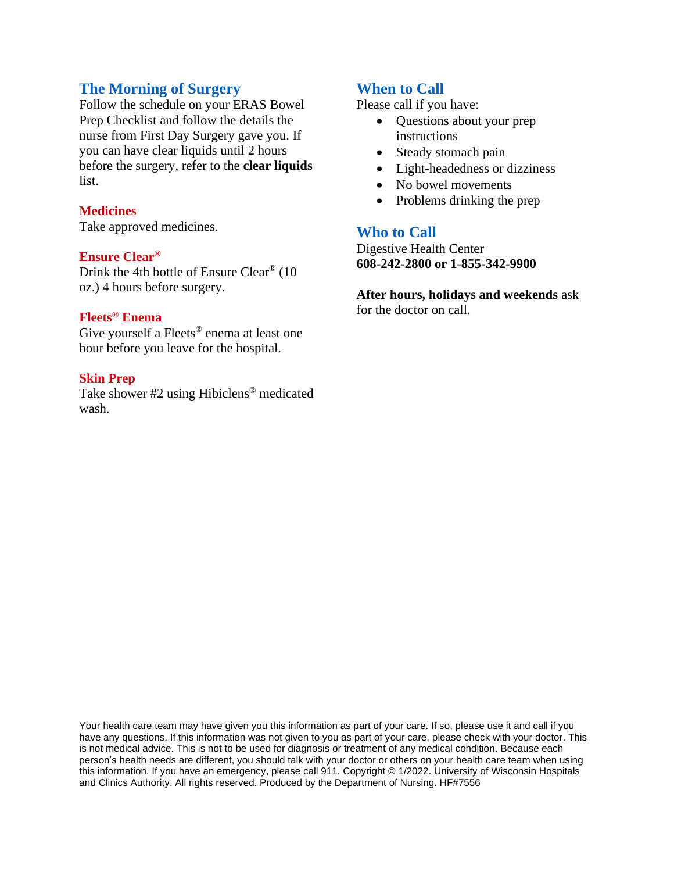#### **The Morning of Surgery**

Follow the schedule on your ERAS Bowel Prep Checklist and follow the details the nurse from First Day Surgery gave you. If you can have clear liquids until 2 hours before the surgery, refer to the **clear liquids**  list.

#### **Medicines**

Take approved medicines.

#### **Ensure Clear®**

Drink the 4th bottle of Ensure Clear® (10 oz.) 4 hours before surgery.

#### **Fleets® Enema**

Give yourself a Fleets ® enema at least one hour before you leave for the hospital.

#### **Skin Prep**

Take shower #2 using Hibiclens® medicated wash.

#### **When to Call**

Please call if you have:

- Questions about your prep instructions
- Steady stomach pain
- Light-headedness or dizziness
- No bowel movements
- Problems drinking the prep

#### **Who to Call**

Digestive Health Center **608-242-2800 or 1**-**855-342-9900**

**After hours, holidays and weekends** ask for the doctor on call.

Your health care team may have given you this information as part of your care. If so, please use it and call if you have any questions. If this information was not given to you as part of your care, please check with your doctor. This is not medical advice. This is not to be used for diagnosis or treatment of any medical condition. Because each person's health needs are different, you should talk with your doctor or others on your health care team when using this information. If you have an emergency, please call 911. Copyright © 1/2022. University of Wisconsin Hospitals and Clinics Authority. All rights reserved. Produced by the Department of Nursing. HF#7556